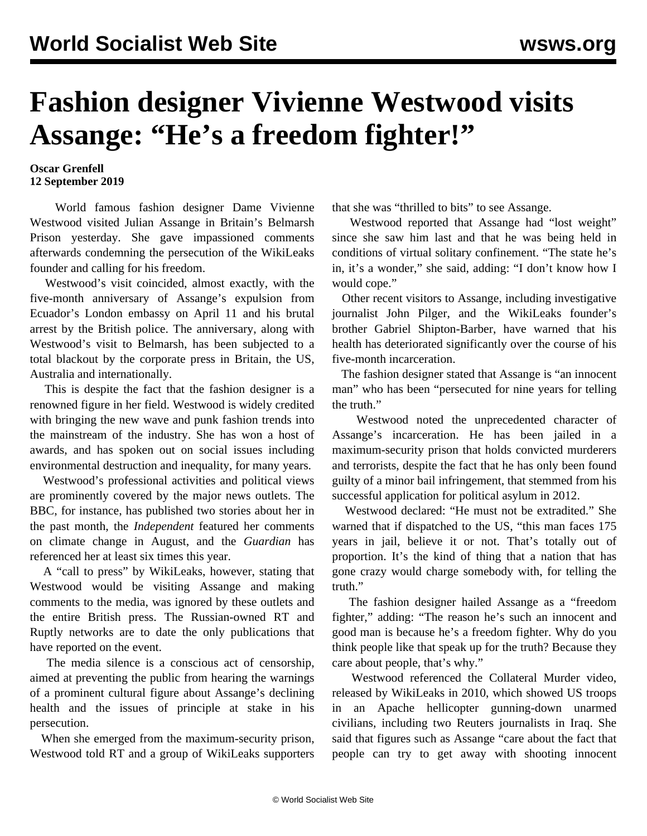## **Fashion designer Vivienne Westwood visits Assange: "He's a freedom fighter!"**

## **Oscar Grenfell 12 September 2019**

 World famous fashion designer Dame Vivienne Westwood visited Julian Assange in Britain's Belmarsh Prison yesterday. She gave impassioned comments afterwards condemning the persecution of the WikiLeaks founder and calling for his freedom.

 Westwood's visit coincided, almost exactly, with the five-month anniversary of Assange's expulsion from Ecuador's London embassy on April 11 and his brutal arrest by the British police. The anniversary, along with Westwood's visit to Belmarsh, has been subjected to a total blackout by the corporate press in Britain, the US, Australia and internationally.

 This is despite the fact that the fashion designer is a renowned figure in her field. Westwood is widely credited with bringing the new wave and punk fashion trends into the mainstream of the industry. She has won a host of awards, and has spoken out on social issues including environmental destruction and inequality, for many years.

 Westwood's professional activities and political views are prominently covered by the major news outlets. The BBC, for instance, has published two stories about her in the past month, the *Independent* featured her comments on climate change in August, and the *Guardian* has referenced her at least six times this year.

 A "call to press" by WikiLeaks, however, stating that Westwood would be visiting Assange and making comments to the media, was ignored by these outlets and the entire British press. The Russian-owned RT and Ruptly networks are to date the only publications that have reported on the event.

 The media silence is a conscious act of censorship, aimed at preventing the public from hearing the warnings of a prominent cultural figure about Assange's declining health and the issues of principle at stake in his persecution.

 When she emerged from the maximum-security prison, Westwood told RT and a group of WikiLeaks supporters

that she was "thrilled to bits" to see Assange.

 Westwood reported that Assange had "lost weight" since she saw him last and that he was being held in conditions of virtual solitary confinement. "The state he's in, it's a wonder," she said, adding: "I don't know how I would cope."

 Other recent visitors to Assange, including investigative journalist John Pilger, and the WikiLeaks founder's brother Gabriel Shipton-Barber, have warned that his health has deteriorated significantly over the course of his five-month incarceration.

 The fashion designer stated that Assange is "an innocent man" who has been "persecuted for nine years for telling the truth."

 Westwood noted the unprecedented character of Assange's incarceration. He has been jailed in a maximum-security prison that holds convicted murderers and terrorists, despite the fact that he has only been found guilty of a minor bail infringement, that stemmed from his successful application for political asylum in 2012.

 Westwood declared: "He must not be extradited." She warned that if dispatched to the US, "this man faces 175 years in jail, believe it or not. That's totally out of proportion. It's the kind of thing that a nation that has gone crazy would charge somebody with, for telling the truth."

 The fashion designer hailed Assange as a "freedom fighter," adding: "The reason he's such an innocent and good man is because he's a freedom fighter. Why do you think people like that speak up for the truth? Because they care about people, that's why."

 Westwood referenced the Collateral Murder video, released by WikiLeaks in 2010, which showed US troops in an Apache hellicopter gunning-down unarmed civilians, including two Reuters journalists in Iraq. She said that figures such as Assange "care about the fact that people can try to get away with shooting innocent